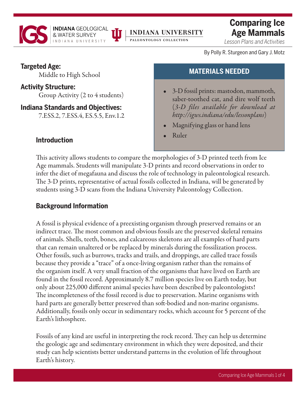

# **INDIANA UNIVERSITY**

PALEONTOLOGY COLLECTION

**Comparing Ice Age Mammals**

*Lesson Plans and Activities*

By Polly R. Sturgeon and Gary J. Motz

# **Targeted Age:**

Middle to High School

# **Activity Structure:**

Group Activity (2 to 4 students)

# **Indiana Standards and Objectives:**

7.ESS.2, 7.ESS.4, ES.5.5, Env.1.2

# **MATERIALS NEEDED**

- 3-D fossil prints: mastodon, mammoth, saber-toothed cat, and dire wolf teeth (*[3-D files available for download at](https://igws.indiana.edu/lessonplans/)  http://igws.indiana/edu/lessonplans*)
- Magnifying glass or hand lens
- Ruler

# **Introduction**

This activity allows students to compare the morphologies of 3-D printed teeth from Ice Age mammals. Students will manipulate 3-D prints and record observations in order to infer the diet of megafauna and discuss the role of technology in paleontological research. The 3-D prints, representative of actual fossils collected in Indiana, will be generated by students using 3-D scans from the Indiana University Paleontology Collection.

# **Background Information**

A fossil is physical evidence of a preexisting organism through preserved remains or an indirect trace. The most common and obvious fossils are the preserved skeletal remains of animals. Shells, teeth, bones, and calcareous skeletons are all examples of hard parts that can remain unaltered or be replaced by minerals during the fossilization process. Other fossils, such as burrows, tracks and trails, and droppings, are called trace fossils because they provide a "trace" of a once-living organism rather than the remains of the organism itself. A very small fraction of the organisms that have lived on Earth are found in the fossil record. Approximately 8.7 million species live on Earth today, but only about 225,000 different animal species have been described by paleontologists! The incompleteness of the fossil record is due to preservation. Marine organisms with hard parts are generally better preserved than soft-bodied and non-marine organisms. Additionally, fossils only occur in sedimentary rocks, which account for 5 percent of the Earth's lithosphere.

Fossils of any kind are useful in interpreting the rock record. They can help us determine the geologic age and sedimentary environment in which they were deposited, and their study can help scientists better understand patterns in the evolution of life throughout Earth's history.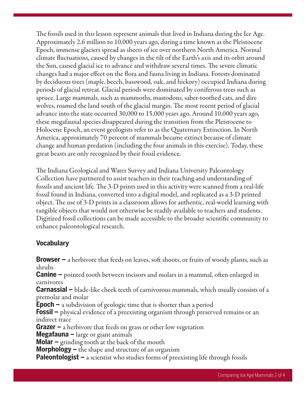The fossils used in this lesson represent animals that lived in Indiana during the Ice Age. Approximately 2.6 million to 10,000 years ago, during a time known as the Pleistocene Epoch, immense glaciers spread as sheets of ice over northern North America. Normal climate fluctuations, caused by changes in the tilt of the Earth's axis and its orbit around the Sun, caused glacial ice to advance and withdraw several times. The severe climatic changes had a major effect on the flora and fauna living in Indiana. Forests dominated by deciduous trees (maple, beech, basswood, oak, and hickory) occupied Indiana during periods of glacial retreat. Glacial periods were dominated by coniferous trees such as spruce. Large mammals, such as mammoths, mastodons, saber-toothed cats, and dire wolves, roamed the land south of the glacial margin. The most recent period of glacial advance into the state occurred 30,000 to 15,000 years ago. Around 10,000 years ago, these megafaunal species disappeared during the transition from the Pleistocene to Holocene Epoch, an event geologists refer to as the Quaternary Extinction. In North America, approximately 70 percent of mammals became extinct because of climate change and human predation (including the four animals in this exercise). Today, these great beasts are only recognized by their fossil evidence.

[The](http://www.indiana.edu/~palcoll/) [Indiana Geological and Water Survey](https://igws.indiana.edu/) [and Indiana University Paleontology](http://www.indiana.edu/~palcoll/) Collection have partnered to assist teachers in their teaching and understanding of fossils and ancient life. The 3-D prints used in this activity were scanned from a real-life fossil found in Indiana, converted into a digital model, and replicated as a 3-D printed object. The use of 3-D prints in a classroom allows for authentic, real-world learning with tangible objects that would not otherwise be readily available to teachers and students. Digitized fossil collections can be made accessible to the broader scientific community to enhance paleontological research.

# **Vocabulary**

**Browser –** a herbivore that feeds on leaves, soft shoots, or fruits of woody plants, such as shrubs **Canine –** pointed tooth between incisors and molars in a mammal, often enlarged in carnivores **Carnassial –** blade-like cheek teeth of carnivorous mammals, which usually consists of a premolar and molar **Epoch –** a subdivision of geologic time that is shorter than a period **Fossil –** physical evidence of a preexisting organism through preserved remains or an indirect trace **Grazer –** a herbivore that feeds on grass or other low vegetation **Megafauna –** large or giant animals **Molar –** grinding tooth at the back of the mouth **Morphology –** the shape and structure of an organism **Paleontologist –** a scientist who studies forms of preexisting life through fossils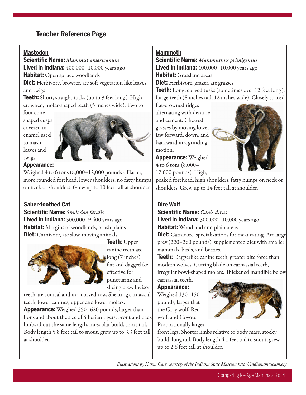# **Teacher Reference Page**

#### **Mastodon**

**Scientific Name:** *Mammut americanum* **Lived in Indiana:** 400,000–10,000 years ago **Habitat:** Open spruce woodlands **Diet:** Herbivore, browser, ate soft vegetation like leaves and twigs

**Teeth:** Short, straight tusks (up to 9 feet long). Highcrowned, molar-shaped teeth (5 inches wide). Two to

four coneshaped cusps covered in enamel used to mash leaves and twigs.



#### **Appearance:**

Weighed 4 to 6 tons (8,000–12,000 pounds). Flatter, more rounded forehead, lower shoulders, no fatty humps on neck or shoulders. Grew up to 10 feet tall at shoulder.

## **Saber-toothed Cat**

**Scientific Name:** *Smilodon fatalis* **Lived in Indiana:** 500,000–9,400 years ago **Habitat:** Margins of woodlands, brush plains **Diet:** Carnivore, ate slow-moving animals



**Teeth:** Upper canine teeth are long (7 inches), flat and daggerlike, effective for puncturing and slicing prey. Incisor

teeth are conical and in a curved row. Shearing carnassial teeth, lower canines, upper and lower molars.

**Appearance:** Weighed 350–620 pounds, larger than lions and about the size of Siberian tigers. Front and back limbs about the same length, muscular build, short tail. Body length 5.8 feet tail to snout, grew up to 3.3 feet tall at shoulder.

#### **Mammoth**

**Scientific Name:** *Mammuthus primigenius* **Lived in Indiana:** 400,000–10,000 years ago **Habitat:** Grassland areas

**Diet:** Herbivore, grazer, ate grasses

**Teeth:** Long, curved tusks (sometimes over 12 feet long). Large teeth (8 inches tall, 12 inches wide). Closely spaced

flat-crowned ridges alternating with dentine and cement. Chewed grasses by moving lower jaw forward, down, and backward in a grinding motion.

**Appearance:** Weighed 4 to 6 tons (8,000– 12,000 pounds). High,



peaked forehead, high shoulders, fatty humps on neck or shoulders. Grew up to 14 feet tall at shoulder.

## **Dire Wolf**

**Scientific Name:** *Canis dirus* **Lived in Indiana:** 300,000–10,000 years ago **Habitat:** Woodland and plain areas

**Diet:** Carnivore, specializations for meat eating. Ate large prey (220–260 pounds), supplemented diet with smaller mammals, birds, and berries.

**Teeth:** Daggerlike canine teeth, greater bite force than modern wolves. Cutting blade on carnassial teeth, irregular bowl-shaped molars. Thickened mandible below

carnassial teeth. **Appearance:** Weighed 130–150 pounds, larger that the Gray wolf, Red

wolf, and Coyote.



front legs. Shorter limbs relative to body mass, stocky build, long tail. Body length 4.1 feet tail to snout, grew up to 2.6 feet tall at shoulder.

*Illustrations by Karen Carr, courtesy of the Indiana State Museum http://indianamuseum.org*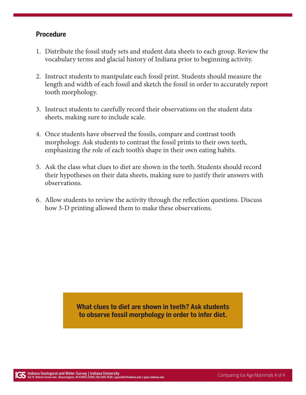## **Procedure**

- 1. Distribute the fossil study sets and student data sheets to each group. Review the vocabulary terms and glacial history of Indiana prior to beginning activity.
- 2. Instruct students to manipulate each fossil print. Students should measure the length and width of each fossil and sketch the fossil in order to accurately report tooth morphology.
- 3. Instruct students to carefully record their observations on the student data sheets, making sure to include scale.
- 4. Once students have observed the fossils, compare and contrast tooth morphology. Ask students to contrast the fossil prints to their own teeth, emphasizing the role of each tooth's shape in their own eating habits.
- 5. Ask the class what clues to diet are shown in the teeth. Students should record their hypotheses on their data sheets, making sure to justify their answers with observations.
- 6. Allow students to review the activity through the reflection questions. Discuss how 3-D printing allowed them to make these observations.

**What clues to diet are shown in teeth? Ask students to observe fossil morphology in order to infer diet.**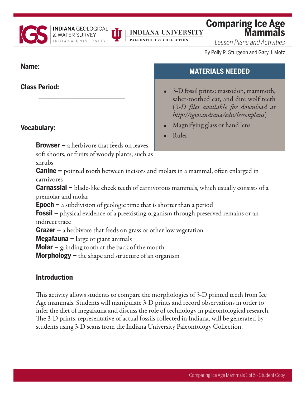

# **INDIANA UNIVERSITY**

PALEONTOLOGY COLLECTION

# **Comparing Ice Age**

*Lesson Plans and Activities*

By Polly R. Sturgeon and Gary J. Motz

# **Name:**

**Class Period:**

# **Vocabulary:**

**Browser –** a herbivore that feeds on leaves,

\_\_\_\_\_\_\_\_\_\_\_\_\_\_\_\_\_\_\_\_\_\_\_\_\_

**INDIANA** GEOLOGICAL

\_\_\_\_\_\_\_\_\_\_\_\_\_\_\_\_\_\_\_\_\_\_\_\_\_

soft shoots, or fruits of woody plants, such as shrubs

# **MATERIALS NEEDED**

- 3-D fossil prints: mastodon, mammoth, saber-toothed cat, and dire wolf teeth (*[3-D files available for download at](https://igws.indiana.edu/lessonplans/)  http://igws.indiana/edu/lessonplans*)
- Magnifying glass or hand lens
- Ruler

**Canine –** pointed tooth between incisors and molars in a mammal, often enlarged in carnivores

**Carnassial –** blade-like cheek teeth of carnivorous mammals, which usually consists of a premolar and molar

**Epoch –** a subdivision of geologic time that is shorter than a period

**Fossil –** physical evidence of a preexisting organism through preserved remains or an indirect trace

**Grazer –** a herbivore that feeds on grass or other low vegetation

**Megafauna –** large or giant animals

**Molar –** grinding tooth at the back of the mouth

**Morphology –** the shape and structure of an organism

# **Introduction**

This activity allows students to compare the morphologies of 3-D printed teeth from Ice Age mammals. Students will manipulate 3-D prints and record observations in order to infer the diet of megafauna and discuss the role of technology in paleontological research. The 3-D prints, representative of actual fossils collected in Indiana, will be generated by students using 3-D scans from the Indiana University Paleontology Collection.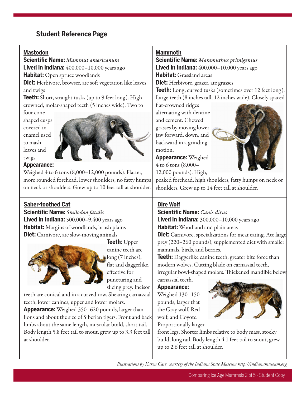# **Student Reference Page**

#### **Mastodon**

**Scientific Name:** *Mammut americanum* **Lived in Indiana:** 400,000–10,000 years ago **Habitat:** Open spruce woodlands **Diet:** Herbivore, browser, ate soft vegetation like leaves and twigs

**Teeth:** Short, straight tusks (up to 9 feet long). Highcrowned, molar-shaped teeth (5 inches wide). Two to

four coneshaped cusps covered in enamel used to mash leaves and twigs.



#### **Appearance:**

Weighed 4 to 6 tons (8,000–12,000 pounds). Flatter, more rounded forehead, lower shoulders, no fatty humps on neck or shoulders. Grew up to 10 feet tall at shoulder.

## **Saber-toothed Cat**

**Scientific Name:** *Smilodon fatalis* **Lived in Indiana:** 500,000–9,400 years ago **Habitat:** Margins of woodlands, brush plains **Diet:** Carnivore, ate slow-moving animals



**Teeth:** Upper canine teeth are long (7 inches), flat and daggerlike, effective for puncturing and slicing prey. Incisor

teeth are conical and in a curved row. Shearing carnassial teeth, lower canines, upper and lower molars.

**Appearance:** Weighed 350–620 pounds, larger than lions and about the size of Siberian tigers. Front and back limbs about the same length, muscular build, short tail. Body length 5.8 feet tail to snout, grew up to 3.3 feet tall at shoulder.

#### **Mammoth**

**Scientific Name:** *Mammuthus primigenius* **Lived in Indiana:** 400,000–10,000 years ago **Habitat:** Grassland areas

**Diet:** Herbivore, grazer, ate grasses

**Teeth:** Long, curved tusks (sometimes over 12 feet long). Large teeth (8 inches tall, 12 inches wide). Closely spaced

flat-crowned ridges alternating with dentine and cement. Chewed grasses by moving lower jaw forward, down, and backward in a grinding motion.

**Appearance:** Weighed 4 to 6 tons (8,000– 12,000 pounds). High,



peaked forehead, high shoulders, fatty humps on neck or shoulders. Grew up to 14 feet tall at shoulder.

## **Dire Wolf**

**Scientific Name:** *Canis dirus* **Lived in Indiana:** 300,000–10,000 years ago **Habitat:** Woodland and plain areas

**Diet:** Carnivore, specializations for meat eating. Ate large prey (220–260 pounds), supplemented diet with smaller mammals, birds, and berries.

**Teeth:** Daggerlike canine teeth, greater bite force than modern wolves. Cutting blade on carnassial teeth, irregular bowl-shaped molars. Thickened mandible below

carnassial teeth. **Appearance:** Weighed 130–150 pounds, larger that the Gray wolf, Red

wolf, and Coyote.



front legs. Shorter limbs relative to body mass, stocky build, long tail. Body length 4.1 feet tail to snout, grew up to 2.6 feet tall at shoulder.

*Illustrations by Karen Carr, courtesy of the Indiana State Museum http://indianamuseum.org*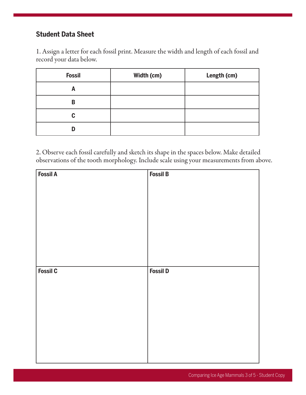# **Student Data Sheet**

1. Assign a letter for each fossil print. Measure the width and length of each fossil and record your data below.

| <b>Fossil</b> | Width (cm) | Length (cm) |
|---------------|------------|-------------|
| A             |            |             |
| B             |            |             |
| C             |            |             |
| ח             |            |             |

2. Observe each fossil carefully and sketch its shape in the spaces below. Make detailed observations of the tooth morphology. Include scale using your measurements from above.

| <b>Fossil A</b> | <b>Fossil B</b> |
|-----------------|-----------------|
|                 |                 |
|                 |                 |
|                 |                 |
|                 |                 |
|                 |                 |
|                 |                 |
|                 |                 |
|                 |                 |
|                 |                 |
|                 |                 |
| <b>Fossil C</b> | <b>Fossil D</b> |
|                 |                 |
|                 |                 |
|                 |                 |
|                 |                 |
|                 |                 |
|                 |                 |
|                 |                 |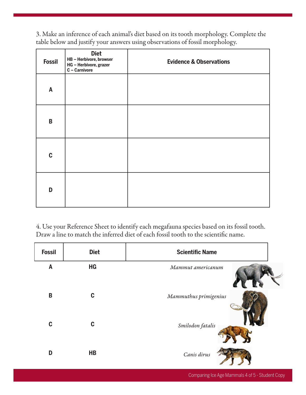3. Make an inference of each animal's diet based on its tooth morphology. Complete the table below and justify your answers using observations of fossil morphology.

| <b>Fossil</b> | <b>Diet</b><br>HB - Herbivore, browser<br>HG - Herbivore, grazer<br>C - Carnivore | <b>Evidence &amp; Observations</b> |
|---------------|-----------------------------------------------------------------------------------|------------------------------------|
| A             |                                                                                   |                                    |
| B             |                                                                                   |                                    |
| $\mathbf c$   |                                                                                   |                                    |
| D             |                                                                                   |                                    |

4. Use your Reference Sheet to identify each megafauna species based on its fossil tooth. Draw a line to match the inferred diet of each fossil tooth to the scientific name.

| <b>Fossil</b>    | <b>Diet</b>    | <b>Scientific Name</b> |
|------------------|----------------|------------------------|
| $\boldsymbol{A}$ | HG             | Mammut americanum      |
| $\mathsf B$      | C              | Mammuthus primigenius  |
| $\mathbf c$      | C              | Smilodon fatalis       |
| D                | H <sub>B</sub> | Canis dirus            |

Comparing Ice Age Mammals 4 of 5 - Student Copy